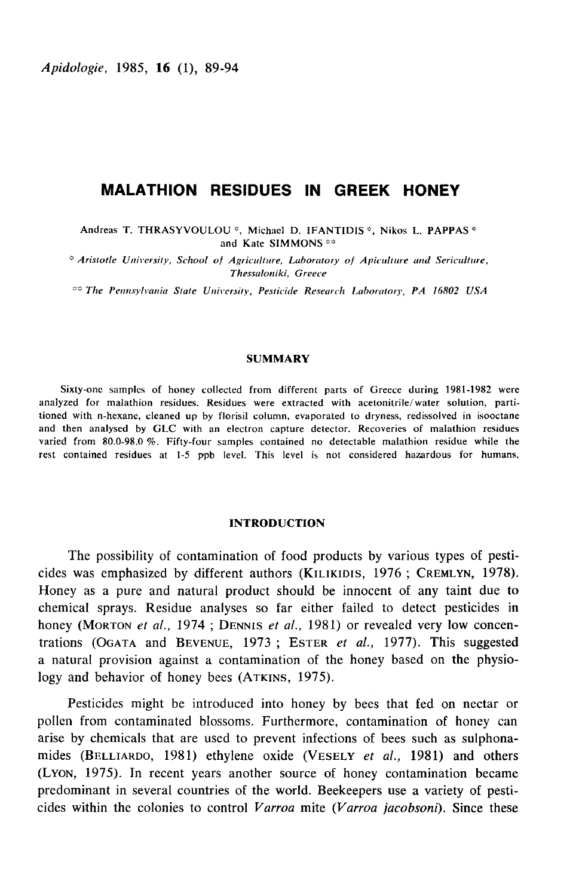# **MALATHION RESIDUES IN GREEK HONEY**

Andreas T. THRASYVOULOU<sup>\*</sup>, Michael D. IFANTIDIS<sup>\*</sup>, Nikos L. PAPPAS<sup>\*</sup> and Kate SIMMONS<sup>\*\*</sup>

<sup>#</sup> Aristotle University, School of Agriculture, Laboratory of Apiculture and Sericulture, Thessaloniki, Greece

\*\* The Pennsylvania State University, Pesticide Research Laboratory, PA 16802 USA

# **SUMMARY**

Sixty-one samples of honey collected from different parts of Greece during 1981-1982 were analyzed for malathion residues. Residues were extracted with acetonitrile/water solution, partitioned with n-hexane, cleaned up by florisil column, evaporated to dryness, redissolved in isooctane and then analysed by GLC with an electron capture detector. Recoveries of malathion residues varied from 80.0-98.0 %. Fifty-four samples contained no detectable malathion residue while the rest contained residues at 1-5 ppb level. This level is not considered hazardous for humans.

#### **INTRODUCTION**

The possibility of contamination of food products by various types of pesticides was emphasized by different authors (KILIKIDIS, 1976; CREMLYN, 1978). Honey as a pure and natural product should be innocent of any taint due to chemical sprays. Residue analyses so far either failed to detect pesticides in honey (MORTON et al., 1974; DENNIS et al., 1981) or revealed very low concentrations (OGATA and BEVENUE, 1973; ESTER et al., 1977). This suggested a natural provision against a contamination of the honey based on the physiology and behavior of honey bees (ATKINS, 1975).

Pesticides might be introduced into honey by bees that fed on nectar or pollen from contaminated blossoms. Furthermore, contamination of honey can arise by chemicals that are used to prevent infections of bees such as sulphonamides (BELLIARDO, 1981) ethylene oxide (VESELY et al., 1981) and others (LYON, 1975). In recent years another source of honey contamination became predominant in several countries of the world. Beekeepers use a variety of pesticides within the colonies to control Varroa mite (Varroa jacobsoni). Since these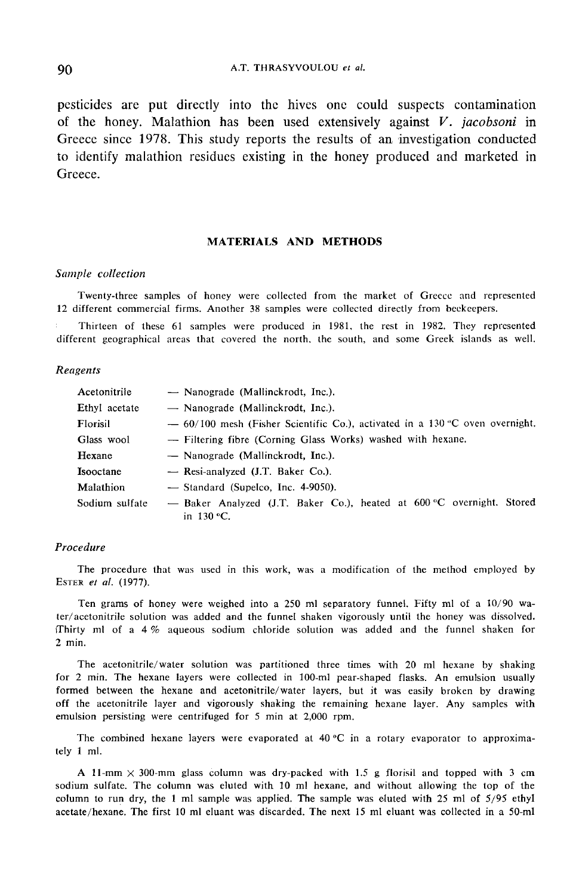#### A.T. THRASYVOULOU et al.

pesticides are put directly into the hives one could suspects contamination of the honey. Malathion has been used extensively against  $V$ . jacobsoni in Greece since 1978. This study reports the results of an investigation conducted to identify malathion residues existing in the honey produced and marketed in Greece.

# MATERIALS AND METHODS

# Sample collection

Twenty-three samples of honey were collected from the market of Greece and represented 12 different commercial firms. Another 38 samples were collected directly from beekeepers.

. Thirteen of these 61 samples were produced in 1981, the rest in 1982. They represented different geographical areas that covered the north, the south, and some Greek islands as well.

# Reagents

| Acetonitrile   | — Nanograde (Mallinckrodt, Inc.).                                                           |  |  |
|----------------|---------------------------------------------------------------------------------------------|--|--|
| Ethyl acetate  | — Nanograde (Mallinckrodt, Inc.).                                                           |  |  |
| Florisil       | $-60/100$ mesh (Fisher Scientific Co.), activated in a 130 °C oven overnight.               |  |  |
| Glass wool     | - Filtering fibre (Corning Glass Works) washed with hexane.                                 |  |  |
| Hexane         | — Nanograde (Mallinckrodt, Inc.).                                                           |  |  |
| Isooctane      | - Resi-analyzed (J.T. Baker Co.).                                                           |  |  |
| Malathion      | $-$ Standard (Supelco, Inc. 4-9050).                                                        |  |  |
| Sodium sulfate | - Baker Analyzed (J.T. Baker Co.), heated at 600 °C overnight. Stored<br>in 130 $\rm{°C}$ . |  |  |

## Procedure

The procedure that was used in this work, was a modification of the method employed by ESTER et al. (1977).

Ten grams of honey were weighed into a 250 ml separatory funnel. Fifty ml of a 10/90 water/acetonitrile solution was added and the funnel shaken vigorously until the honey was dissolved. ffhirty ml of a 4 % aqueous sodium chloride solution was added and the funnel shaken for 2 min.

The acetonitrile/water solution was partitioned three times with 20 ml hexane by shaking for 2 min. The hexane layers were collected in 100-ml pear-shaped flasks. An emulsion usually formed between the hexane and acetonitrile/water layers, but it was easily broken by drawing off the acetonitrile layer and vigorously shaking the remaining hexane layer. Any samples with emulsion persisting were centrifuged for 5 min at 2,000 rpm.

The combined hexane layers were evaporated at  $40\,^{\circ}\text{C}$  in a rotary evaporator to approximately 1 ml.

A 11-mm  $\times$  300-mm glass column was dry-packed with 1.5 g florisil and topped with 3 cm sodium sulfate. The column was eluted with 10 ml hexane, and without allowing the top of the column to run dry, the 1 ml sample was applied. The sample was eluted with 25 ml of 5/95 ethyl acetate/hexane. The first 10 ml eluant was discarded. The next 15 ml eluant was collected in a 50-ml

90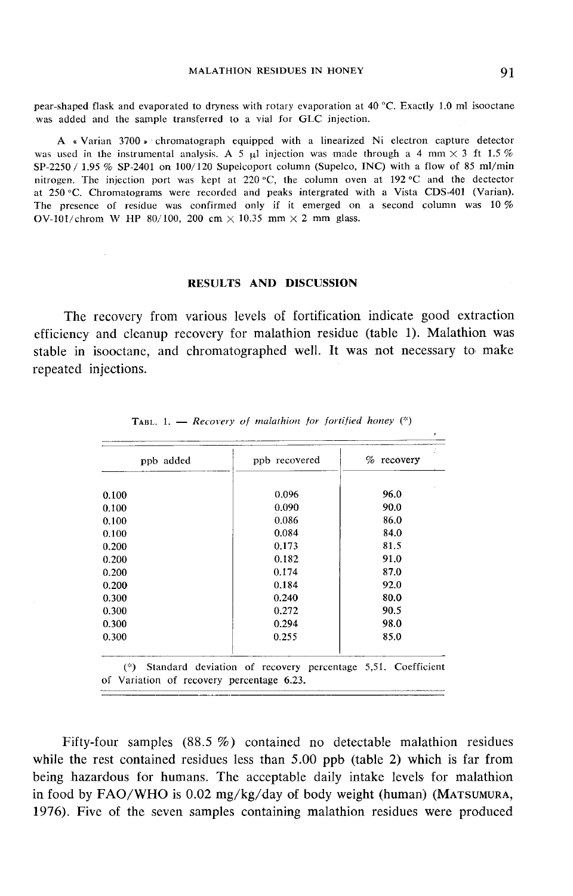pear-shaped flask and evaporated to dryness with rotary evaporation at 40 °C. Exactly 1.0 ml isooctane was added and the sample transferred to a vial for GLC injection.

A « Varian 3700 » chromatograph equipped with a linearized Ni electron capture detector was used in the instrumental analysis. A 5  $\mu$ l injection was made through a 4 mm  $\times$  3 ft 1.5 %  $SP-2250 / 1.95 \%$  SP-2401 on  $100/120$  Supelcoport column (Supelco, INC) with a flow of 85 ml/min nitrogen. The injection port was kept at 220 °C, the column oven at 192 °C and the dectector at 250 °C. Chromatograms were recorded and peaks intergrated with a Vista CDS-401 (Varian). The presence of residue was confirmed only if it emerged on a second column was 10 % OV-101/chrom W HP 80/100, 200 cm  $\times$  10.35 mm  $\times$  2 mm glass.

# RESULTS AND DISCUSSION

The recovery from various levels of fortification indicate good extraction efficiency and cleanup recovery for malathion residue (table 1). Malathion was stable in isooctane, and chromatographed well. It was not necessary to make repeated injections.

| ppb added | ppb recovered | $%$ recovery |
|-----------|---------------|--------------|
| 0.100     | 0.096         | 96.0         |
| 0.100     | 0.090         | 90.0         |
| 0.100     | 0.086         | 86.0         |
| 0.100     | 0.084         | 84.0         |
| 0.200     | 0.173         | 81.5         |
| 0.200     | 0.182         | 91.0         |
| 0.200     | 0.174         | 87.0         |
| 0.200     | 0.184         | 92.0         |
| 0.300     | 0.240         | 80.0         |
| 0.300     | 0.272         | 90.5         |
| 0.300     | 0.294         | 98.0         |
| 0.300     | 0.255         | 85.0         |

TABL, 1. - Recovery of malathion for fortified honey  $(*)$ 

Fifty-four samples  $(88.5\%)$  contained no detectable malathion residues while the rest contained residues less than 5.00 ppb (table 2) which is far from being hazardous for humans. The acceptable daily intake levels for malathion in food by FAO/WHO is 0.02 mg/kg/day of body weight (human) 1976). Five of the seven samples containing malathion residues were produced(mathemore)<br>(mathemore)<br>(Matsumura ,<br>(Matsumura ,<br>ere produced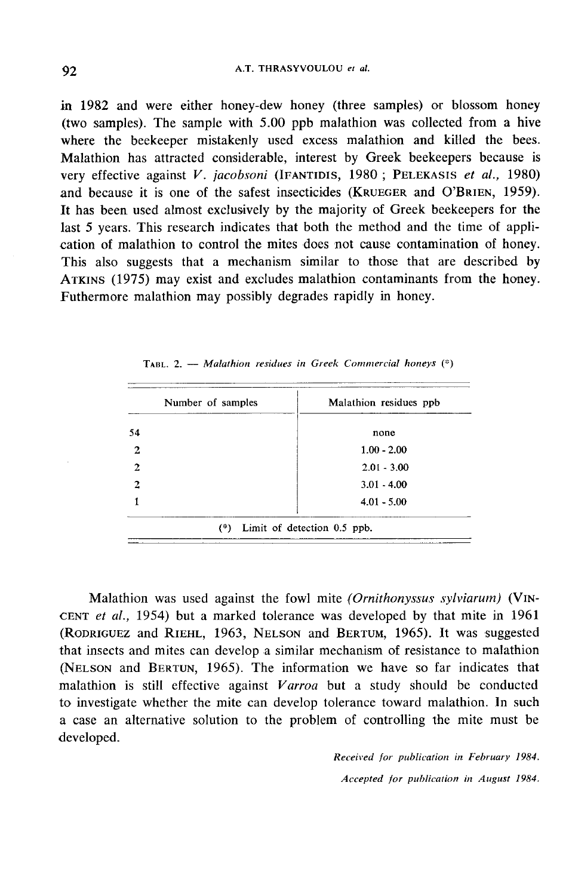in 1982 and were either honey-dew honey (three samples) or blossom honey (two samples). The sample with 5.00 ppb malathion was collected from a hive where the beekeeper mistakenly used excess malathion and killed the bees. Malathion has attracted considerable, interest by Greek beekeepers because is very effective against V. jacobsoni (IFANTIDIS, 1980; PELEKASIS et al., 1980) intertually vertex of all the samples) or blossom honey<br>(two samples). The sample with 5.00 ppb malathion was collected from a hive<br>where the beekeeper mistakenly used excess malathion and killed the bees.<br>Malathion has a (two samples). The sample with 5.00 ppb malatinon was collected from a live<br>where the beekeeper mistakenly used excess malathion and killed the bees.<br>Malathion has attracted considerable, interest by Greek beekeepers beca It has been used almost exclusively by the majority of Greek beekeepers for the last 5 years. This research indicates that both the method and the time of application of malathion to control the mites does not cause contamination of honey. This also suggests that a mechanism similar to those that are described by last 5 years. This research indicates that both the method and the time of appli-<br>cation of malathion to control the mites does not cause contamination of honey.<br>This also suggests that a mechanism similar to those that ar Futhermore malathion may possibly degrades rapidly in honey.

| Number of samples | Malathion residues ppb |
|-------------------|------------------------|
| 54                | none                   |
| $\mathbf{2}$      | $1.00 - 2.00$          |
| 2                 | $2.01 - 3.00$          |
| 2                 | $3.01 - 4.00$          |
|                   | $4.01 - 5.00$          |

TABL. 2. - Malathion residues in Greek Commercial honeys  $(*)$ 

Malathion was used against the fowl mite (Ornithonyssus sylviarum) (VIN-CENT et al., 1954) but a marked tolerance was developed by that mite in 1961 Malathion was used against the fowl mite *(Ornithonyssus sylviarum)* (VINCENT *et al.*, 1954) but a marked tolerance was developed by that mite in 1961 (RODRIGUEZ and RIEHL, 1963, NELSON and BERTUM, 1965). It was suggested that insects and mites can develop a similar mechanism of resistance to malathion CENT *et al.*, 1954) but a marked tolerance was developed by that mite in 1961 (RODRIGUEZ and RIEHL, 1963, NELSON and BERTUM, 1965). It was suggested that insects and mites can develop a similar mechanism of resistance to to investigate whether the mite can develop tolerance toward malathion. In such a case an alternative solution to the problem of controlling the mite must be developed.

> Received for publication in February 1984. Accepted for publication in August 1984.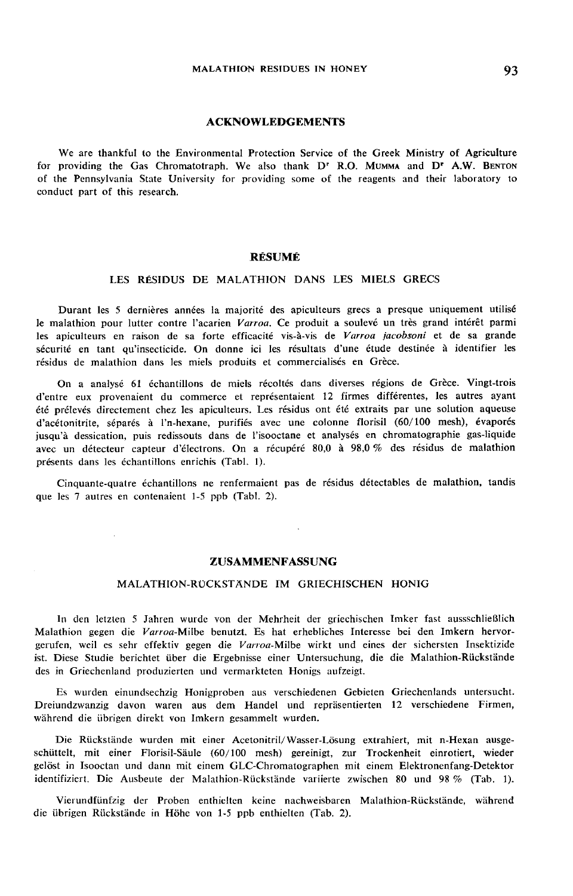93

## ACKNOWLEDGEMENTS

We are thankful to the Environmental Protection Service of the Greek Ministry of Agriculture for providing the Gas Chromatotraph. We also thank D' R.O. MUMMA and D' A.W. BENTON of the Pennsylvania State University for providing some of the reagents and their laboratory to conduct part of this research.

#### RÉSUMÉ

# LES RÉSIDUS DE MALATHION DANS LES MIELS GRECS

Durant les 5 dernières années la majorité des apiculteurs grecs a presque uniquement utilisé le malathion pour lutter contre l'acarien Varroa. Ce produit a soulevé un très grand intérêt parmi les apiculteurs en raison de sa forte efficacité vis-à-vis de Varroa jacobsoni et de sa grande sécurité en tant qu'insecticide. On donne ici les résultats d'une étude destinée à identifier les résidus de malathion dans les miels produits et commercialisés en Grèce.

On a analysé 61 échantillons de miels récoltés dans diverses régions de Grèce. Vingt-trois d'entre eux provenaient du commerce et représentaient 12 firmes différentes, les autres ayant été prélevés directement chez les apiculteurs. Les résidus ont été extraits par une solution aqueuse d'acétonitrite, séparés à l'n-hexane, purifiés avec une colonne florisil (60/100 mesh), évaporés jusqu'à dessication, puis redissouts dans de l'isooctane et analysés en chromatographie gas-liquide avec un détecteur capteur d'électrons. On a récupéré 80,0 à 98,0 % des résidus de malathion présents dans les échantillons enrichis (Tabl. 1).

Cinquante-quatre échantillons ne renfermaient pas de résidus détectables de malathion, tandis que les 7 autres en contenaient 1-S ppb (Tabl. 2).

### ZUSAMMENFASSUNG

## MALATHION-RÜCKSTÄNDE IM GRIECHISCHEN HONIG

In den letzten 5 Jahren wurde von der Mehrheit der griechischen Imker fast aussschließlich Malathion gegen die Varroa-Milbe benutzt. Es hat erhebliches Interesse bei den Imkern hervorgerufen, weil es sehr effektiv gegen die Varroa-Milbe wirkt und eines der sichersten Insektizide ist. Diese Studie berichtet über die Ergebnisse einer Untersuchung, die die Malathion-Rückstände des in Griechenland produzierten und vermarkteten Honigs aufzeigt.

Es wurden einundsechzig Honigproben aus verschiedenen Gebieten Griechenlands untersucht. Dreiundzwanzig davon waren aus dem Handel und repräsentierten 12 verschiedene Firmen, während die übrigen direkt von Imkern gesammelt wurden.

Die Rückstände wurden mit einer Acetonitril/Wasser-Lösung extrahiert, mit n-Hexan ausgeschüttelt, mit einer Fl'orisil-Säule (60/100 mesh) gereinigt, zur Trockenheit einrotiert, wieder gelöst in Isooctan und dann mit einem GLC-Chromatographen mit einem Elektronenfang-Detektor identifiziert. Die Ausbeute der Malathion-Rückstände variierte zwischen 80 und 98 % (Tab. 1).

Vierundfünfzig der Proben enthielten keine nachweisbaren Malathion-Rückstände, während die übrigen Rückstände in Höhe von 1-5 ppb enthielten (Tab. 2).